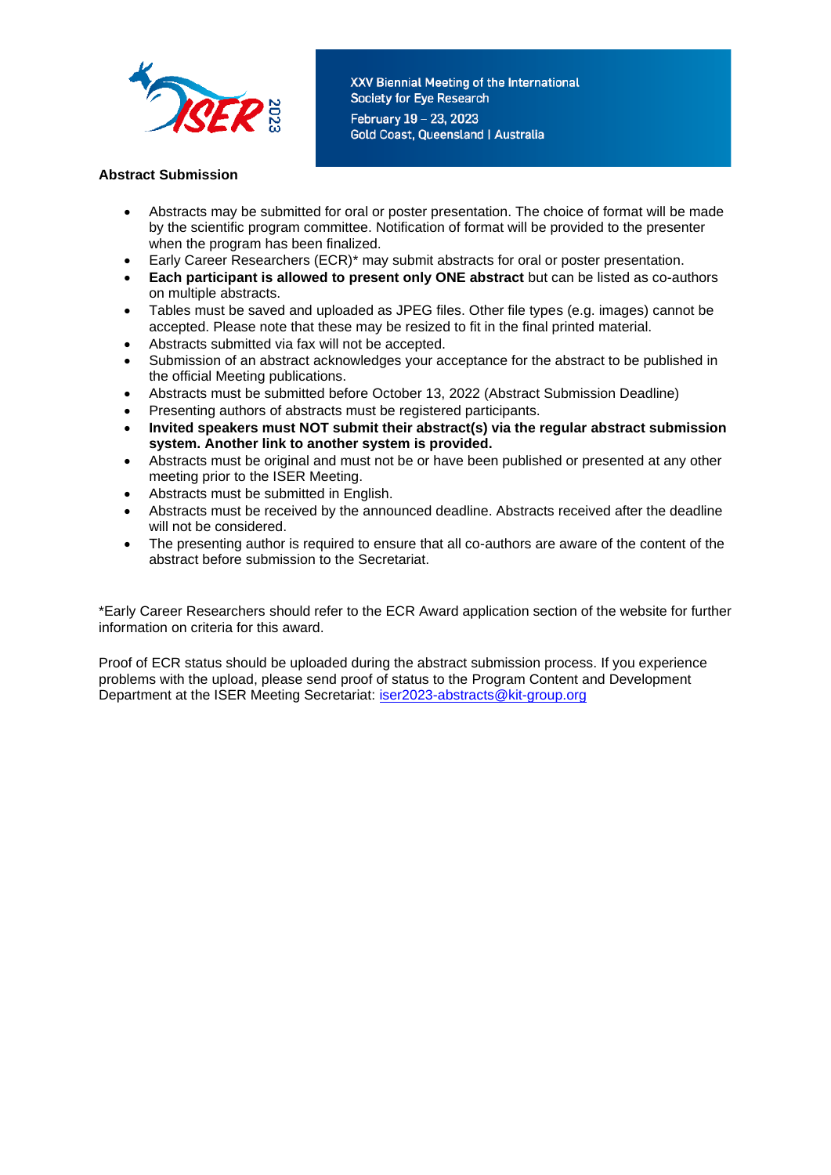

XXV Biennial Meeting of the International Society for Eye Research February 19 - 23, 2023 **Gold Coast, Queensland | Australia** 

### **Abstract Submission**

- Abstracts may be submitted for oral or poster presentation. The choice of format will be made by the scientific program committee. Notification of format will be provided to the presenter when the program has been finalized.
- Early Career Researchers (ECR)\* may submit abstracts for oral or poster presentation.
- **Each participant is allowed to present only ONE abstract** but can be listed as co-authors on multiple abstracts.
- Tables must be saved and uploaded as JPEG files. Other file types (e.g. images) cannot be accepted. Please note that these may be resized to fit in the final printed material.
- Abstracts submitted via fax will not be accepted.
- Submission of an abstract acknowledges your acceptance for the abstract to be published in the official Meeting publications.
- Abstracts must be submitted before October 13, 2022 (Abstract Submission Deadline)
- Presenting authors of abstracts must be registered participants.
- **Invited speakers must NOT submit their abstract(s) via the regular abstract submission system. Another link to another system is provided.**
- Abstracts must be original and must not be or have been published or presented at any other meeting prior to the ISER Meeting.
- Abstracts must be submitted in English.
- Abstracts must be received by the announced deadline. Abstracts received after the deadline will not be considered.
- The presenting author is required to ensure that all co-authors are aware of the content of the abstract before submission to the Secretariat.

\*Early Career Researchers should refer to the ECR Award application section of the website for further information on criteria for this award.

Proof of ECR status should be uploaded during the abstract submission process. If you experience problems with the upload, please send proof of status to the Program Content and Development Department at the ISER Meeting Secretariat: [iser2023-abstracts@kit-group.org](mailto:iser2023-abstracts@kit-group.org)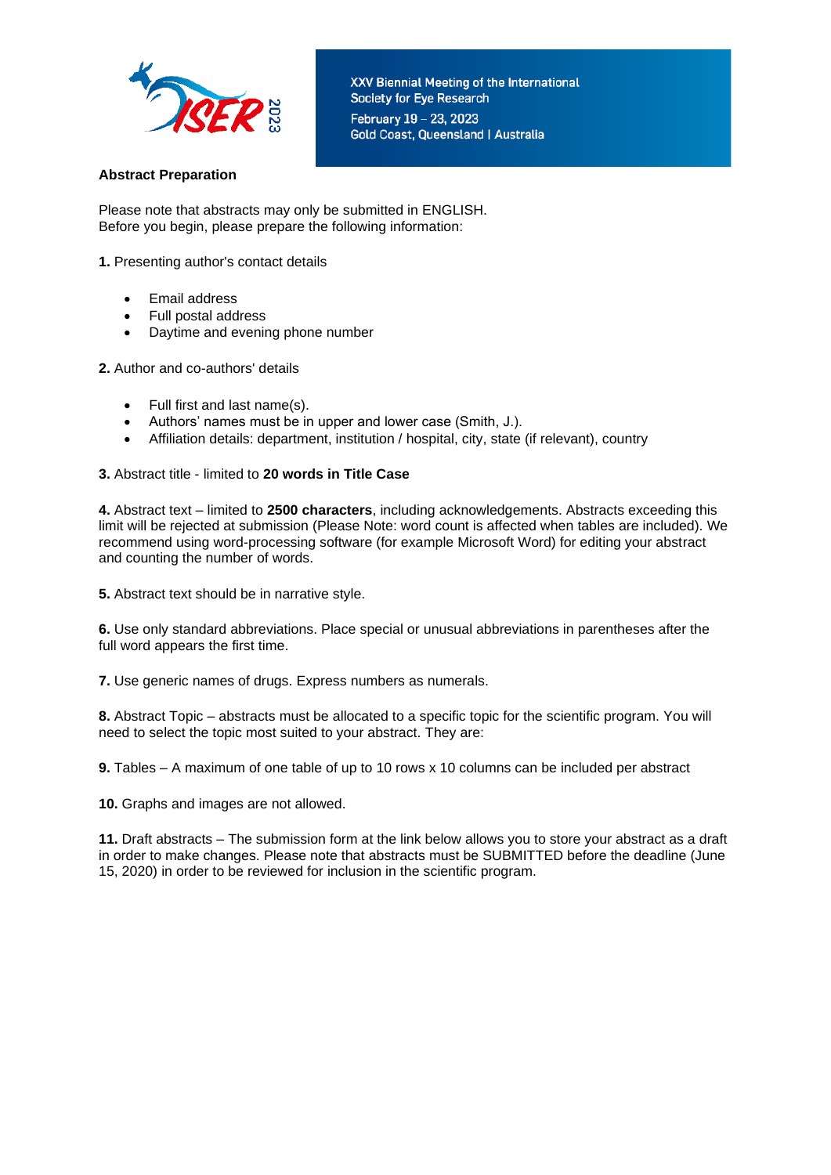

# **Abstract Preparation**

Please note that abstracts may only be submitted in ENGLISH. Before you begin, please prepare the following information:

- **1.** Presenting author's contact details
	- Email address
	- Full postal address
	- Daytime and evening phone number
- **2.** Author and co-authors' details
	- Full first and last name(s).
	- Authors' names must be in upper and lower case (Smith, J.).
	- Affiliation details: department, institution / hospital, city, state (if relevant), country

#### **3.** Abstract title - limited to **20 words in Title Case**

**4.** Abstract text – limited to **2500 characters**, including acknowledgements. Abstracts exceeding this limit will be rejected at submission (Please Note: word count is affected when tables are included). We recommend using word-processing software (for example Microsoft Word) for editing your abstract and counting the number of words.

**5.** Abstract text should be in narrative style.

**6.** Use only standard abbreviations. Place special or unusual abbreviations in parentheses after the full word appears the first time.

**7.** Use generic names of drugs. Express numbers as numerals.

**8.** Abstract Topic – abstracts must be allocated to a specific topic for the scientific program. You will need to select the topic most suited to your abstract. They are:

**9.** Tables – A maximum of one table of up to 10 rows x 10 columns can be included per abstract

**10.** Graphs and images are not allowed.

**11.** Draft abstracts – The submission form at the link below allows you to store your abstract as a draft in order to make changes. Please note that abstracts must be SUBMITTED before the deadline (June 15, 2020) in order to be reviewed for inclusion in the scientific program.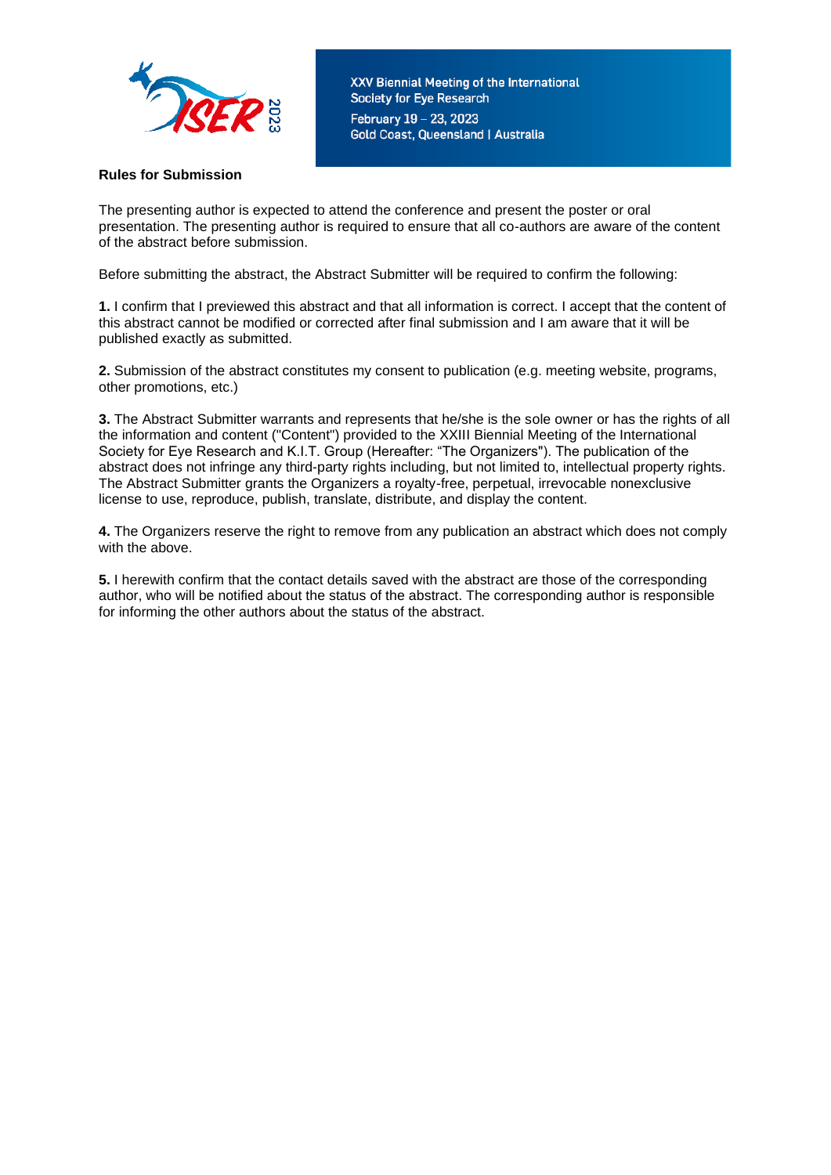

XXV Biennial Meeting of the International Society for Eye Research February 19 - 23, 2023 **Gold Coast, Queensland | Australia** 

# **Rules for Submission**

The presenting author is expected to attend the conference and present the poster or oral presentation. The presenting author is required to ensure that all co-authors are aware of the content of the abstract before submission.

Before submitting the abstract, the Abstract Submitter will be required to confirm the following:

**1.** I confirm that I previewed this abstract and that all information is correct. I accept that the content of this abstract cannot be modified or corrected after final submission and I am aware that it will be published exactly as submitted.

**2.** Submission of the abstract constitutes my consent to publication (e.g. meeting website, programs, other promotions, etc.)

**3.** The Abstract Submitter warrants and represents that he/she is the sole owner or has the rights of all the information and content ("Content") provided to the XXIII Biennial Meeting of the International Society for Eye Research and K.I.T. Group (Hereafter: "The Organizers"). The publication of the abstract does not infringe any third-party rights including, but not limited to, intellectual property rights. The Abstract Submitter grants the Organizers a royalty-free, perpetual, irrevocable nonexclusive license to use, reproduce, publish, translate, distribute, and display the content.

**4.** The Organizers reserve the right to remove from any publication an abstract which does not comply with the above.

**5.** I herewith confirm that the contact details saved with the abstract are those of the corresponding author, who will be notified about the status of the abstract. The corresponding author is responsible for informing the other authors about the status of the abstract.